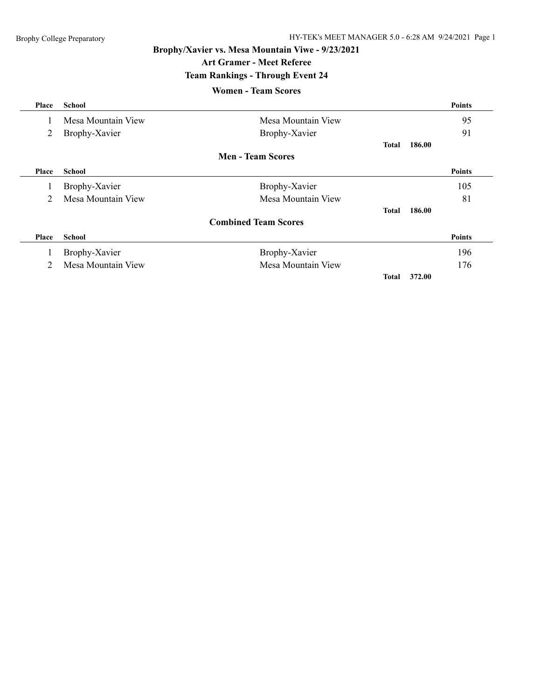# **Brophy/Xavier vs. Mesa Mountain Viwe - 9/23/2021**

**Art Gramer - Meet Referee**

# **Team Rankings - Through Event 24**

# **Women - Team Scores**

| Place                       | <b>School</b>      |                             | <b>Points</b> |
|-----------------------------|--------------------|-----------------------------|---------------|
|                             | Mesa Mountain View | Mesa Mountain View          | 95            |
| 2                           | Brophy-Xavier      | Brophy-Xavier               | 91            |
|                             |                    | <b>Total</b>                | 186.00        |
|                             |                    | <b>Men - Team Scores</b>    |               |
| Place                       | <b>School</b>      |                             | <b>Points</b> |
|                             | Brophy-Xavier      | Brophy-Xavier               | 105           |
| 2                           | Mesa Mountain View | Mesa Mountain View          | 81            |
|                             |                    | <b>Total</b>                | 186.00        |
|                             |                    | <b>Combined Team Scores</b> |               |
| Place                       | <b>School</b>      |                             | <b>Points</b> |
|                             | Brophy-Xavier      | Brophy-Xavier               | 196           |
| $\mathcal{D}_{\mathcal{L}}$ | Mesa Mountain View | Mesa Mountain View          | 176           |
|                             |                    | Total                       | 372.00        |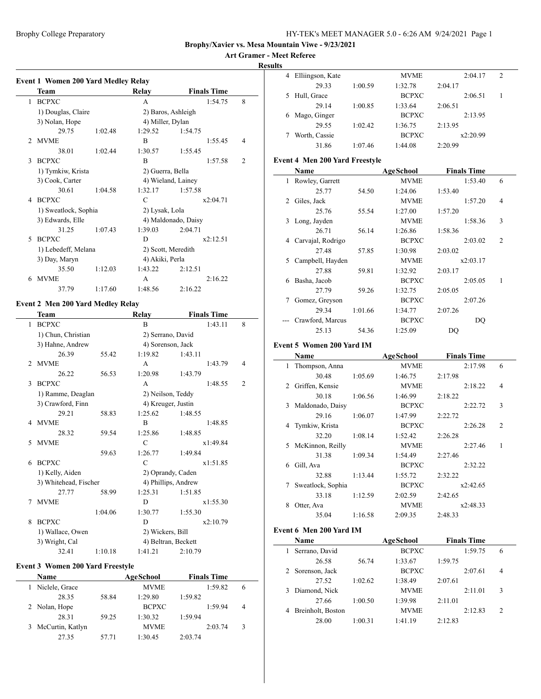## Brophy College Preparatory **HY-TEK's MEET MANAGER 5.0 - 6:26 AM 9/24/2021** Page 1

**Brophy/Xavier vs. Mesa Mountain Viwe - 9/23/2021**

# **Art Gramer - Meet Referee**

#### **Results**

|                | Event 1 Women 200 Yard Medley Relay      |         |                    |                     |   |
|----------------|------------------------------------------|---------|--------------------|---------------------|---|
|                | Team                                     |         | Relay              | <b>Finals Time</b>  |   |
| $\mathbf{1}$   | <b>BCPXC</b>                             |         | A                  | 1:54.75             | 8 |
|                | 1) Douglas, Claire                       |         | 2) Baros, Ashleigh |                     |   |
|                | 3) Nolan, Hope                           |         | 4) Miller, Dylan   |                     |   |
|                | 29.75                                    | 1:02.48 | 1:29.52            | 1:54.75             |   |
| 2              | <b>MVME</b>                              |         | B                  | 1:55.45             | 4 |
|                | 38.01                                    | 1:02.44 | 1:30.57            | 1:55.45             |   |
| 3              | <b>BCPXC</b>                             |         | B                  | 1:57.58             | 2 |
|                | 1) Tymkiw, Krista                        |         | 2) Guerra, Bella   |                     |   |
|                | 3) Cook, Carter                          |         |                    | 4) Wieland, Lainey  |   |
|                | 30.61                                    | 1:04.58 | 1:32.17            | 1:57.58             |   |
| 4              | <b>BCPXC</b>                             |         | $\mathcal{C}$      | x2:04.71            |   |
|                | 1) Sweatlock, Sophia                     |         | 2) Lysak, Lola     |                     |   |
|                | 3) Edwards, Elle                         |         |                    | 4) Maldonado, Daisy |   |
|                | 31.25                                    | 1:07.43 | 1:39.03            | 2:04.71             |   |
| 5              | <b>BCPXC</b>                             |         | D                  | x2:12.51            |   |
|                | 1) Lebedeff, Melana                      |         | 2) Scott, Meredith |                     |   |
|                | 3) Day, Maryn                            |         | 4) Akiki, Perla    |                     |   |
|                | 35.50                                    | 1:12.03 | 1:43.22            | 2:12.51             |   |
| 6              | <b>MVME</b>                              |         | A                  | 2:16.22             |   |
|                | 37.79                                    | 1:17.60 | 1:48.56            | 2:16.22             |   |
|                | <b>Event 2 Men 200 Yard Medley Relay</b> |         |                    |                     |   |
|                | <b>Team</b>                              |         | Relay              | <b>Finals Time</b>  |   |
| 1              | <b>BCPXC</b>                             |         | R                  | 1:43.11             | 8 |
|                | 1) Chun, Christian                       |         | 2) Serrano, David  |                     |   |
|                | 3) Hahne, Andrew                         |         | 4) Sorenson, Jack  |                     |   |
|                | 26.39                                    | 55.42   | 1:19.82            | 1:43.11             |   |
| $\overline{2}$ | <b>MVME</b>                              |         | A                  | 1:43.79             | 4 |
|                | 26.22                                    | 56.53   | 1:20.98            | 1:43.79             |   |
| 3              | <b>BCPXC</b>                             |         | A                  | 1:48.55             | 2 |
|                | 1) Ramme, Deaglan                        |         | 2) Neilson, Teddy  |                     |   |
|                | 3) Crawford, Finn                        |         | 4) Kreuger, Justin |                     |   |
|                | 29.21                                    | 58.83   | 1:25.62            | 1:48.55             |   |
| 4              | <b>MVME</b>                              |         | B                  | 1:48.85             |   |
|                | 28.32                                    |         | 1:25.86            | 1:48.85             |   |
| 5              | <b>MVME</b>                              | 59.54   | $\mathcal{C}$      | x1:49.84            |   |
|                |                                          |         | 1:26.77            |                     |   |
| 6              | <b>BCPXC</b>                             | 59.63   | $\mathcal{C}$      | 1:49.84<br>x1:51.85 |   |
|                |                                          |         |                    |                     |   |
|                | 1) Kelly, Aiden                          |         |                    | 2) Oprandy, Caden   |   |

| 4 Elliingson, Kate |         | <b>MVME</b>  | 2:04.17  | $\overline{2}$ |  |
|--------------------|---------|--------------|----------|----------------|--|
| 29.33              | 1:00.59 | 1:32.78      | 2:04.17  |                |  |
| Hull, Grace        |         | <b>BCPXC</b> | 2:06.51  |                |  |
| 29.14              | 1:00.85 | 1:33.64      | 2:06.51  |                |  |
| Mago, Ginger       |         | <b>BCPXC</b> | 2:13.95  |                |  |
| 29.55              | 1:02.42 | 1:36.75      | 2:13.95  |                |  |
| Worth, Cassie      |         | <b>BCPXC</b> | x2:20.99 |                |  |
| 31.86              | 1:07.46 | 1:44.08      | 2:20.99  |                |  |

#### **Event 4 Men 200 Yard Freestyle**

|    | Name              |         | AgeSchool    | <b>Finals Time</b> |                          |
|----|-------------------|---------|--------------|--------------------|--------------------------|
| 1  | Rowley, Garrett   |         | <b>MVME</b>  | 1:53.40            | 6                        |
|    | 25.77             | 54.50   | 1:24.06      | 1:53.40            |                          |
| 2  | Giles, Jack       |         | <b>MVME</b>  | 1:57.20            | $\overline{\mathcal{A}}$ |
|    | 25.76             | 55.54   | 1:27.00      | 1:57.20            |                          |
| 3  | Long, Jayden      |         | <b>MVME</b>  | 1:58.36            | 3                        |
|    | 26.71             | 56.14   | 1:26.86      | 1:58.36            |                          |
| 4  | Carvajal, Rodrigo |         | <b>BCPXC</b> | 2:03.02            | $\mathcal{L}$            |
|    | 27.48             | 57.85   | 1:30.98      | 2:03.02            |                          |
| 5. | Campbell, Hayden  |         | <b>MVME</b>  | x2:03.17           |                          |
|    | 27.88             | 59.81   | 1:32.92      | 2:03.17            |                          |
| 6  | Basha, Jacob      |         | <b>BCPXC</b> | 2:05.05            | 1                        |
|    | 27.79             | 59.26   | 1:32.75      | 2:05.05            |                          |
| 7  | Gomez, Greyson    |         | <b>BCPXC</b> | 2:07.26            |                          |
|    | 29.34             | 1:01.66 | 1:34.77      | 2:07.26            |                          |
|    | Crawford, Marcus  |         | <b>BCPXC</b> | DO                 |                          |
|    | 25.13             | 54.36   | 1:25.09      | DQ                 |                          |

#### **Event 5 Women 200 Yard IM**

 $\frac{1}{1-\frac{1}{2}}\left( \frac{1}{2}\right) ^{2}+\frac{1}{2}\left( \frac{1}{2}\right) ^{2}+\frac{1}{2}\left( \frac{1}{2}\right) ^{2}+\frac{1}{2}\left( \frac{1}{2}\right) ^{2}+\frac{1}{2}\left( \frac{1}{2}\right) ^{2}+\frac{1}{2}\left( \frac{1}{2}\right) ^{2}+\frac{1}{2}\left( \frac{1}{2}\right) ^{2}+\frac{1}{2}\left( \frac{1}{2}\right) ^{2}+\frac{1}{2}\left( \frac{1}{2}\right) ^{2}+\frac{1}{2}\left( \frac{1}{2$ 

|                | Name              |         | <b>AgeSchool</b> | <b>Finals Time</b>        |  |
|----------------|-------------------|---------|------------------|---------------------------|--|
| 1              | Thompson, Anna    |         | <b>MVME</b>      | 2:17.98<br>6              |  |
|                | 30.48             | 1:05.69 | 1:46.75          | 2:17.98                   |  |
| $\mathfrak{D}$ | Griffen, Kensie   |         | <b>MVME</b>      | 2:18.22<br>4              |  |
|                | 30.18             | 1:06.56 | 1:46.99          | 2:18.22                   |  |
| $\mathbf{3}$   | Maldonado, Daisy  |         | <b>BCPXC</b>     | 3<br>2:22.72              |  |
|                | 29.16             | 1:06.07 | 1:47.99          | 2:22.72                   |  |
| 4              | Tymkiw, Krista    |         | <b>BCPXC</b>     | $\overline{c}$<br>2:26.28 |  |
|                | 32.20             | 1:08.14 | 1:52.42          | 2:26.28                   |  |
| 5              | McKinnon, Reilly  |         | <b>MVME</b>      | 2:27.46<br>1              |  |
|                | 31.38             | 1:09.34 | 1:54.49          | 2:27.46                   |  |
| 6              | Gill, Ava         |         | <b>BCPXC</b>     | 2:32.22                   |  |
|                | 32.88             | 1:13.44 | 1:55.72          | 2:32.22                   |  |
| 7              | Sweatlock, Sophia |         | <b>BCPXC</b>     | x2:42.65                  |  |
|                | 33.18             | 1:12.59 | 2:02.59          | 2:42.65                   |  |
| 8              | Otter, Ava        |         | <b>MVME</b>      | x2:48.33                  |  |
|                | 35.04             | 1:16.58 | 2:09.35          | 2:48.33                   |  |
|                |                   |         |                  |                           |  |

# **Event 6 Men 200 Yard IM**

|   | Name              |         | <b>AgeSchool</b> |         | <b>Finals Time</b> |               |
|---|-------------------|---------|------------------|---------|--------------------|---------------|
|   | Serrano, David    |         | <b>BCPXC</b>     |         | 1:59.75            | 6             |
|   | 26.58             | 56.74   | 1:33.67          | 1:59.75 |                    |               |
|   | 2 Sorenson, Jack  |         | <b>BCPXC</b>     |         | 2:07.61            | 4             |
|   | 27.52             | 1:02.62 | 1:38.49          | 2:07.61 |                    |               |
|   | 3 Diamond, Nick   |         | <b>MVME</b>      |         | 2:11.01            | 3             |
|   | 27.66             | 1:00.50 | 1:39.98          | 2:11.01 |                    |               |
| 4 | Breinholt, Boston |         | <b>MVME</b>      |         | 2:12.83            | $\mathcal{L}$ |
|   | 28.00             | 1.00.31 | 1:41.19          | 2:12.83 |                    |               |

#### **Event 3 Women 200 Yard Freestyle**

 $\overline{a}$ 

| Name                  |       | AgeSchool    | <b>Finals Time</b> |                |
|-----------------------|-------|--------------|--------------------|----------------|
| Niclele, Grace        |       | <b>MVME</b>  | 1:59.82            | 6              |
| 28.35                 | 58.84 | 1:29.80      | 1:59.82            |                |
| 2 Nolan, Hope         |       | <b>BCPXC</b> | 1:59.94            | $\overline{4}$ |
| 28.31                 | 59.25 | 1:30.32      | 1:59.94            |                |
| McCurtin, Katlyn<br>3 |       | <b>MVME</b>  | 2:03.74            | 3              |
| 27.35                 | 57.71 | 1:30.45      | 2:03.74            |                |

1:04.06 1:30.77 1:55.30

3) Whitehead, Fischer 4) Phillips, Andrew 27.77 58.99 1:25.31 1:51.85 7 MVME D x1:55.30

1) Wallace, Owen 2) Wickers, Bill 3) Wright, Cal 4) Beltran, Beckett 32.41 1:10.18 1:41.21 2:10.79

8 BCPXC D x2:10.79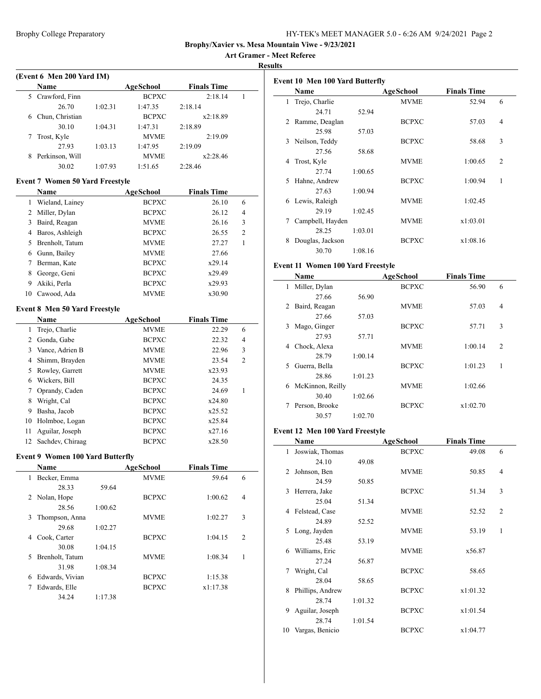## Brophy College Preparatory HY-TEK's MEET MANAGER 5.0 - 6:26 AM 9/24/2021 Page 2

**Brophy/Xavier vs. Mesa Mountain Viwe - 9/23/2021**

**Art Gramer - Meet Referee**

#### **Results**

 $\overline{\phantom{a}}$ 

|    | <b>Name</b>     |         | AgeSchool    | <b>Finals Time</b> |  |
|----|-----------------|---------|--------------|--------------------|--|
| 5. | Crawford, Finn  |         | <b>BCPXC</b> | 2:18.14            |  |
|    | 26.70           | 1:02.31 | 1:47.35      | 2:18.14            |  |
| 6  | Chun, Christian |         | <b>BCPXC</b> | x2:18.89           |  |
|    | 30.10           | 1:04.31 | 1:47.31      | 2:18.89            |  |
| 7  | Trost, Kyle     |         | <b>MVME</b>  | 2:19.09            |  |
|    | 27.93           | 1:03.13 | 1:47.95      | 2:19.09            |  |
| 8  | Perkinson, Will |         | <b>MVME</b>  | x2:28.46           |  |
|    | 30.02           | 1:07.93 | 1:51.65      | 2:28.46            |  |

|    | <b>Name</b>     | AgeSchool    | <b>Finals Time</b> |   |
|----|-----------------|--------------|--------------------|---|
| 1  | Wieland, Lainey | <b>BCPXC</b> | 26.10              | 6 |
| 2  | Miller, Dylan   | <b>BCPXC</b> | 26.12              | 4 |
| 3  | Baird, Reagan   | <b>MVME</b>  | 26.16              | 3 |
| 4  | Baros, Ashleigh | <b>BCPXC</b> | 26.55              | 2 |
| 5  | Brenholt, Tatum | <b>MVME</b>  | 27.27              | 1 |
| 6  | Gunn, Bailey    | <b>MVME</b>  | 27.66              |   |
|    | Berman, Kate    | <b>BCPXC</b> | x29.14             |   |
| 8  | George, Geni    | <b>BCPXC</b> | x29.49             |   |
| 9  | Akiki, Perla    | <b>BCPXC</b> | x29.93             |   |
| 10 | Cawood, Ada     | <b>MVME</b>  | x30.90             |   |

## **Event 8 Men 50 Yard Freestyle**

|    | Name              | AgeSchool    | <b>Finals Time</b> |                |
|----|-------------------|--------------|--------------------|----------------|
| 1  | Trejo, Charlie    | <b>MVME</b>  | 22.29              | 6              |
|    | Gonda, Gabe       | <b>BCPXC</b> | 22.32              | 4              |
| 3  | Vance, Adrien B   | <b>MVME</b>  | 22.96              | 3              |
| 4  | Shimm, Brayden    | <b>MVME</b>  | 23.54              | $\overline{2}$ |
|    | 5 Rowley, Garrett | <b>MVME</b>  | x23.93             |                |
| 6  | Wickers, Bill     | <b>BCPXC</b> | 24.35              |                |
| 7  | Oprandy, Caden    | <b>BCPXC</b> | 24.69              | 1              |
| 8  | Wright, Cal       | <b>BCPXC</b> | x24.80             |                |
| 9  | Basha, Jacob      | <b>BCPXC</b> | x25.52             |                |
| 10 | Holmboe, Logan    | <b>BCPXC</b> | x25.84             |                |
| 11 | Aguilar, Joseph   | <b>BCPXC</b> | x27.16             |                |
| 12 | Sachdev, Chiraag  | <b>BCPXC</b> | x28.50             |                |

#### **Event 9 Women 100 Yard Butterfly**

 $\overline{a}$ 

|   | <b>Name</b>     |         | AgeSchool    | <b>Finals Time</b> |                |
|---|-----------------|---------|--------------|--------------------|----------------|
| 1 | Becker, Emma    |         | <b>MVME</b>  | 59.64              | 6              |
|   | 28.33           | 59.64   |              |                    |                |
| 2 | Nolan, Hope     |         | <b>BCPXC</b> | 1:00.62            | $\overline{4}$ |
|   | 28.56           | 1:00.62 |              |                    |                |
| 3 | Thompson, Anna  |         | <b>MVME</b>  | 1:02.27            | 3              |
|   | 29.68           | 1:02.27 |              |                    |                |
| 4 | Cook, Carter    |         | <b>BCPXC</b> | 1:04.15            | $\overline{2}$ |
|   | 30.08           | 1:04.15 |              |                    |                |
| 5 | Brenholt, Tatum |         | <b>MVME</b>  | 1:08.34            | 1              |
|   | 31.98           | 1:08.34 |              |                    |                |
| 6 | Edwards, Vivian |         | <b>BCPXC</b> | 1:15.38            |                |
| 7 | Edwards, Elle   |         | <b>BCPXC</b> | x1:17.38           |                |
|   | 34.24           | 1:17.38 |              |                    |                |

|   | Event 10 Men 100 Yard Butterfly |         |              |                    |                |
|---|---------------------------------|---------|--------------|--------------------|----------------|
|   | Name                            |         | AgeSchool    | <b>Finals Time</b> |                |
| 1 | Trejo, Charlie                  |         | <b>MVME</b>  | 52.94              | 6              |
|   | 24.71                           | 52.94   |              |                    |                |
| 2 | Ramme, Deaglan                  |         | <b>BCPXC</b> | 57.03              | 4              |
|   | 25.98                           | 57.03   |              |                    |                |
| 3 | Neilson, Teddy                  |         | <b>BCPXC</b> | 58.68              | 3              |
|   | 27.56                           | 58.68   |              |                    |                |
| 4 | Trost, Kyle                     |         | MVME         | 1:00.65            | $\overline{c}$ |
|   | 27.74                           | 1:00.65 |              |                    |                |
| 5 | Hahne, Andrew                   |         | <b>BCPXC</b> | 1:00.94            | 1              |
|   | 27.63                           | 1:00.94 |              |                    |                |
| 6 | Lewis, Raleigh                  |         | <b>MVME</b>  | 1:02.45            |                |
|   | 29.19                           | 1:02.45 |              |                    |                |
| 7 | Campbell, Hayden                |         | MVME         | x1:03.01           |                |
|   | 28.25                           | 1:03.01 |              |                    |                |
| 8 | Douglas, Jackson                |         | <b>BCPXC</b> | x1:08.16           |                |
|   | 30.70                           | 1:08.16 |              |                    |                |

## **Event 11 Women 100 Yard Freestyle**

|   | <b>Name</b>      |         | AgeSchool    | <b>Finals Time</b> |                |
|---|------------------|---------|--------------|--------------------|----------------|
| 1 | Miller, Dylan    |         | <b>BCPXC</b> | 56.90              | 6              |
|   | 27.66            | 56.90   |              |                    |                |
| 2 | Baird, Reagan    |         | <b>MVME</b>  | 57.03              | 4              |
|   | 27.66            | 57.03   |              |                    |                |
| 3 | Mago, Ginger     |         | <b>BCPXC</b> | 57.71              | 3              |
|   | 27.93            | 57.71   |              |                    |                |
| 4 | Chock, Alexa     |         | <b>MVME</b>  | 1:00.14            | $\overline{c}$ |
|   | 28.79            | 1:00.14 |              |                    |                |
| 5 | Guerra, Bella    |         | <b>BCPXC</b> | 1:01.23            | 1              |
|   | 28.86            | 1:01.23 |              |                    |                |
| 6 | McKinnon, Reilly |         | <b>MVME</b>  | 1:02.66            |                |
|   | 30.40            | 1:02.66 |              |                    |                |
| 7 | Person, Brooke   |         | <b>BCPXC</b> | x1:02.70           |                |
|   | 30.57            | 1:02.70 |              |                    |                |

#### **Event 12 Men 100 Yard Freestyle**

|    | Name               |         | <b>AgeSchool</b> | <b>Finals Time</b> |                |
|----|--------------------|---------|------------------|--------------------|----------------|
| 1  | Joswiak, Thomas    |         | <b>BCPXC</b>     | 49.08              | 6              |
|    | 24.10              | 49.08   |                  |                    |                |
| 2  | Johnson, Ben       |         | <b>MVME</b>      | 50.85              | 4              |
|    | 24.59              | 50.85   |                  |                    |                |
| 3  | Herrera, Jake      |         | <b>BCPXC</b>     | 51.34              | 3              |
|    | 25.04              | 51.34   |                  |                    |                |
|    | 4 Felstead, Case   |         | <b>MVME</b>      | 52.52              | $\overline{2}$ |
|    | 24.89              | 52.52   |                  |                    |                |
| 5. | Long, Jayden       |         | <b>MVME</b>      | 53.19              | 1              |
|    | 25.48              | 53.19   |                  |                    |                |
| 6  | Williams, Eric     |         | <b>MVME</b>      | x56.87             |                |
|    | 27.24              | 56.87   |                  |                    |                |
| 7  | Wright, Cal        |         | <b>BCPXC</b>     | 58.65              |                |
|    | 28.04              | 58.65   |                  |                    |                |
| 8  | Phillips, Andrew   |         | <b>BCPXC</b>     | x1:01.32           |                |
|    | 28.74              | 1:01.32 |                  |                    |                |
| 9. | Aguilar, Joseph    |         | <b>BCPXC</b>     | x1:01.54           |                |
|    | 28.74              | 1:01.54 |                  |                    |                |
|    | 10 Vargas, Benicio |         | <b>BCPXC</b>     | x1:04.77           |                |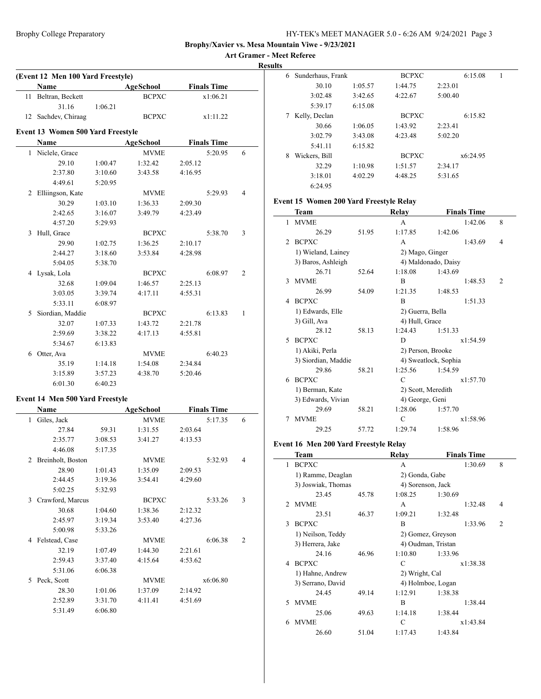**Brophy/Xavier vs. Mesa Mountain Viwe - 9/23/2021**

**Art Gramer - Meet Referee**

**Results**

 $\overline{\phantom{a}}$ 

|    | (Event 12 Men 100 Yard Freestyle)<br>Name |         | AgeSchool        | <b>Finals Time</b> |          |   |
|----|-------------------------------------------|---------|------------------|--------------------|----------|---|
| 11 | Beltran, Beckett                          |         | <b>BCPXC</b>     |                    | x1:06.21 |   |
|    | 31.16                                     | 1:06.21 |                  |                    |          |   |
| 12 | Sachdev, Chiraag                          |         | <b>BCPXC</b>     |                    | x1:11.22 |   |
|    |                                           |         |                  |                    |          |   |
|    | <b>Event 13 Women 500 Yard Freestyle</b>  |         |                  |                    |          |   |
|    | Name                                      |         | <b>AgeSchool</b> | <b>Finals Time</b> |          |   |
| 1  | Niclele, Grace                            |         | <b>MVME</b>      |                    | 5:20.95  | 6 |
|    | 29.10                                     | 1:00.47 | 1:32.42          | 2:05.12            |          |   |
|    | 2:37.80                                   | 3:10.60 | 3:43.58          | 4:16.95            |          |   |
|    | 4:49.61                                   | 5:20.95 |                  |                    |          |   |
| 2  | Elliingson, Kate                          |         | <b>MVME</b>      |                    | 5:29.93  | 4 |
|    | 30.29                                     | 1:03.10 | 1:36.33          | 2:09.30            |          |   |
|    | 2:42.65                                   | 3:16.07 | 3:49.79          | 4:23.49            |          |   |
|    | 4:57.20                                   | 5:29.93 |                  |                    |          |   |
| 3  | Hull, Grace                               |         | <b>BCPXC</b>     |                    | 5:38.70  | 3 |
|    | 29.90                                     | 1:02.75 | 1:36.25          | 2:10.17            |          |   |
|    | 2:44.27                                   | 3:18.60 | 3:53.84          | 4:28.98            |          |   |
|    | 5:04.05                                   | 5:38.70 |                  |                    |          |   |
|    | 4 Lysak, Lola                             |         | <b>BCPXC</b>     |                    | 6:08.97  | 2 |
|    | 32.68                                     | 1:09.04 | 1:46.57          | 2:25.13            |          |   |
|    | 3:03.05                                   | 3:39.74 | 4:17.11          | 4:55.31            |          |   |
|    | 5:33.11                                   | 6:08.97 |                  |                    |          |   |
| 5  | Siordian, Maddie                          |         | <b>BCPXC</b>     |                    | 6:13.83  | 1 |
|    | 32.07                                     | 1:07.33 | 1:43.72          | 2:21.78            |          |   |
|    | 2:59.69                                   | 3:38.22 | 4:17.13          | 4:55.81            |          |   |
|    | 5:34.67                                   | 6:13.83 |                  |                    |          |   |
|    |                                           |         |                  |                    |          |   |
|    | 6 Otter, Ava                              |         | <b>MVME</b>      |                    | 6:40.23  |   |
|    | 35.19                                     | 1:14.18 | 1:54.08          | 2:34.84            |          |   |
|    | 3:15.89                                   | 3:57.23 | 4:38.70          | 5:20.46            |          |   |
|    | 6:01.30                                   | 6:40.23 |                  |                    |          |   |
|    | Event 14 Men 500 Yard Freestyle           |         |                  |                    |          |   |
|    | Name                                      |         | AgeSchool        | <b>Finals Time</b> |          |   |
| 1  | Giles, Jack                               |         | <b>MVME</b>      |                    | 5:17.35  | 6 |
|    | 27.84                                     | 59.31   | 1:31.55          | 2:03.64            |          |   |
|    | 2:35.77                                   | 3:08.53 | 3:41.27          | 4:13.53            |          |   |
|    | 4:46.08                                   | 5:17.35 |                  |                    |          |   |
|    | Breinholt, Boston                         |         | <b>MVME</b>      |                    | 5:32.93  |   |
|    | 28.90                                     | 1:01.43 | 1:35.09          | 2:09.53            |          |   |
|    | 2:44.45                                   | 3:19.36 | 3:54.41          | 4:29.60            |          |   |
|    | 5:02.25                                   | 5:32.93 |                  |                    |          |   |
| 3  | Crawford, Marcus                          |         | <b>BCPXC</b>     |                    | 5:33.26  | 3 |
|    | 30.68                                     | 1:04.60 | 1:38.36          | 2:12.32            |          |   |
|    | 2:45.97                                   | 3:19.34 | 3:53.40          | 4:27.36            |          |   |
|    | 5:00.98                                   | 5:33.26 |                  |                    |          |   |
|    |                                           |         |                  |                    |          |   |

4 Felstead, Case MVME 6:06.38 2 32.19 1:07.49 1:44.30 2:21.61 2:59.43 3:37.40 4:15.64 4:53.62

5 Peck, Scott MVME x6:06.80 28.30 1:01.06 1:37.09 2:14.92 2:52.89 3:31.70 4:11.41 4:51.69

5:31.06 6:06.38

5:31.49 6:06.80

| 6 | Sunderhaus, Frank |         | <b>BCPXC</b> |         | 6:15.08  | 1 |
|---|-------------------|---------|--------------|---------|----------|---|
|   | 30.10             | 1:05.57 | 1:44.75      | 2:23.01 |          |   |
|   | 3:02.48           | 3:42.65 | 4:22.67      | 5:00.40 |          |   |
|   | 5:39.17           | 6:15.08 |              |         |          |   |
|   | Kelly, Declan     |         | <b>BCPXC</b> |         | 6:15.82  |   |
|   | 30.66             | 1:06.05 | 1:43.92      | 2:23.41 |          |   |
|   | 3:02.79           | 3:43.08 | 4:23.48      | 5:02.20 |          |   |
|   | 5:41.11           | 6:15.82 |              |         |          |   |
| 8 | Wickers, Bill     |         | <b>BCPXC</b> |         | x6:24.95 |   |
|   | 32.29             | 1:10.98 | 1:51.57      | 2:34.17 |          |   |
|   | 3:18.01           | 4:02.29 | 4:48.25      | 5:31.65 |          |   |
|   | 6:24.95           |         |              |         |          |   |

## **Event 15 Women 200 Yard Freestyle Relay**

|                | Team                |       | Relay              | <b>Finals Time</b>   |                |
|----------------|---------------------|-------|--------------------|----------------------|----------------|
| 1              | <b>MVME</b>         |       | A                  | 1:42.06              | 8              |
|                | 26.29               | 51.95 | 1:17.85            | 1:42.06              |                |
| $\mathfrak{D}$ | <b>BCPXC</b>        |       | A                  | 1:43.69              | 4              |
|                | 1) Wieland, Lainey  |       | 2) Mago, Ginger    |                      |                |
|                | 3) Baros, Ashleigh  |       |                    | 4) Maldonado, Daisy  |                |
|                | 26.71               | 52.64 | 1:18.08            | 1:43.69              |                |
| $\mathcal{E}$  | <b>MVME</b>         |       | B                  | 1:48.53              | $\overline{c}$ |
|                | 26.99               | 54.09 | 1:21.35            | 1:48.53              |                |
| 4              | <b>BCPXC</b>        |       | B                  | 1:51.33              |                |
|                | 1) Edwards, Elle    |       | 2) Guerra, Bella   |                      |                |
|                | 3) Gill, Ava        |       | 4) Hull, Grace     |                      |                |
|                | 28.12               | 58.13 | 1:24.43            | 1:51.33              |                |
| $\varsigma$    | <b>BCPXC</b>        |       | D                  | x1:54.59             |                |
|                | 1) Akiki, Perla     |       | 2) Person, Brooke  |                      |                |
|                | 3) Siordian, Maddie |       |                    | 4) Sweatlock, Sophia |                |
|                | 29.86               | 58.21 | 1:25.56            | 1:54.59              |                |
| 6              | <b>BCPXC</b>        |       | C                  | x1:57.70             |                |
|                | 1) Berman, Kate     |       | 2) Scott, Meredith |                      |                |
|                | 3) Edwards, Vivian  |       | 4) George, Geni    |                      |                |
|                | 29.69               | 58.21 | 1:28.06            | 1:57.70              |                |
| 7              | <b>MVME</b>         |       | C                  | x1:58.96             |                |
|                | 29.25               | 57.72 | 1:29.74            | 1:58.96              |                |

## **Event 16 Men 200 Yard Freestyle Relay**

|                | <b>Team</b>        |       | Relay              | <b>Finals Time</b> |                |
|----------------|--------------------|-------|--------------------|--------------------|----------------|
| 1              | <b>BCPXC</b>       |       | A                  | 1:30.69            | 8              |
|                | 1) Ramme, Deaglan  |       | 2) Gonda, Gabe     |                    |                |
|                | 3) Joswiak, Thomas |       | 4) Sorenson, Jack  |                    |                |
|                | 23.45              | 45.78 | 1:08.25            | 1:30.69            |                |
| $\mathfrak{D}$ | <b>MVME</b>        |       | A                  | 1:32.48            | 4              |
|                | 23.51              | 46.37 | 1:09.21            | 1:32.48            |                |
| 3              | <b>BCPXC</b>       |       | B                  | 1:33.96            | $\overline{c}$ |
|                | 1) Neilson, Teddy  |       | 2) Gomez, Greyson  |                    |                |
|                | 3) Herrera, Jake   |       | 4) Oudman, Tristan |                    |                |
|                | 24.16              | 46.96 | 1:10.80            | 1:33.96            |                |
| 4              | <b>BCPXC</b>       |       | C                  | x1:38.38           |                |
|                | 1) Hahne, Andrew   |       | 2) Wright, Cal     |                    |                |
|                | 3) Serrano, David  |       | 4) Holmboe, Logan  |                    |                |
|                | 24.45              | 49.14 | 1:12.91            | 1:38.38            |                |
| 5              | <b>MVME</b>        |       | B                  | 1:38.44            |                |
|                | 25.06              | 49.63 | 1:14.18            | 1:38.44            |                |
| 6              | <b>MVME</b>        |       | C                  | x1:43.84           |                |
|                | 26.60              | 51.04 | 1:17.43            | 1:43.84            |                |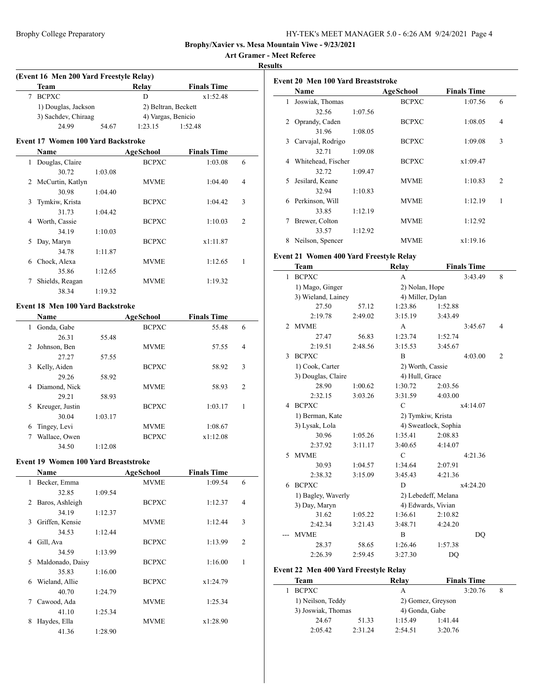| HY-TEK's MEET MANAGER 5.0 - 6:26 AM 9/24/2021 Page 4 |  |
|------------------------------------------------------|--|
|------------------------------------------------------|--|

**Brophy/Xavier vs. Mesa Mountain Viwe - 9/23/2021**

**Art Gramer - Meet Referee**

**Results**

L.

 $\frac{1}{2}$ 

 $\frac{1}{2}$ 

|              | (Event 16 Men 200 Yard Freestyle Relay) |         |                     |                    |                |
|--------------|-----------------------------------------|---------|---------------------|--------------------|----------------|
|              | <b>Team</b>                             |         | Relay               | <b>Finals Time</b> |                |
| $\tau$       | <b>BCPXC</b>                            |         | D                   | x1:52.48           |                |
|              | 1) Douglas, Jackson                     |         | 2) Beltran, Beckett |                    |                |
|              | 3) Sachdev, Chiraag                     |         | 4) Vargas, Benicio  |                    |                |
|              | 24.99                                   | 54.67   | 1:23.15             | 1:52.48            |                |
|              | Event 17 Women 100 Yard Backstroke      |         |                     |                    |                |
|              | Name                                    |         | <b>AgeSchool</b>    | <b>Finals Time</b> |                |
| $\mathbf{1}$ | Douglas, Claire                         |         | <b>BCPXC</b>        | 1:03.08            | 6              |
|              | 30.72                                   | 1:03.08 |                     |                    |                |
| 2            | McCurtin, Katlyn                        |         | <b>MVME</b>         | 1:04.40            | 4              |
|              | 30.98                                   | 1:04.40 |                     |                    |                |
| 3            | Tymkiw, Krista                          |         | <b>BCPXC</b>        | 1:04.42            | 3              |
|              | 31.73                                   | 1:04.42 |                     |                    |                |
| 4            | Worth, Cassie                           |         | <b>BCPXC</b>        | 1:10.03            | 2              |
|              | 34.19                                   | 1:10.03 |                     |                    |                |
| 5            | Day, Maryn                              |         | <b>BCPXC</b>        | x1:11.87           |                |
|              | 34.78                                   | 1:11.87 |                     |                    |                |
|              | 6 Chock, Alexa                          |         | <b>MVME</b>         | 1:12.65            | 1              |
|              | 35.86                                   | 1:12.65 |                     |                    |                |
| 7            | Shields, Reagan                         |         | MVME                | 1:19.32            |                |
|              | 38.34                                   | 1:19.32 |                     |                    |                |
|              |                                         |         |                     |                    |                |
|              | <b>Event 18 Men 100 Yard Backstroke</b> |         |                     |                    |                |
|              | Name                                    |         | <b>AgeSchool</b>    | <b>Finals Time</b> |                |
| $\mathbf{1}$ | Gonda, Gabe                             |         | <b>BCPXC</b>        | 55.48              | 6              |
|              | 26.31                                   | 55.48   |                     |                    |                |
|              | 2 Johnson, Ben                          |         | <b>MVME</b>         | 57.55              | 4              |
|              | 27.27                                   | 57.55   |                     |                    |                |
|              | 3 Kelly, Aiden                          |         | <b>BCPXC</b>        | 58.92              | 3              |
|              | 29.26                                   | 58.92   |                     |                    |                |
| 4            | Diamond, Nick                           |         | MVME                | 58.93              | 2              |
|              | 29.21                                   | 58.93   |                     |                    |                |
| 5            | Kreuger, Justin                         |         | <b>BCPXC</b>        | 1:03.17            | 1              |
|              | 30.04                                   | 1:03.17 |                     |                    |                |
| 6            | Tingey, Levi                            |         | MVME                | 1:08.67            |                |
| 7            | Wallace, Owen                           |         | <b>BCPXC</b>        | x1:12.08           |                |
|              | 34.50                                   | 1:12.08 |                     |                    |                |
|              | Event 19 Women 100 Yard Breaststroke    |         |                     |                    |                |
|              | <b>Name</b>                             |         | <b>AgeSchool</b>    | <b>Finals Time</b> |                |
| 1            | Becker, Emma                            |         | <b>MVME</b>         | 1:09.54            | 6              |
|              | 32.85                                   | 1:09.54 |                     |                    |                |
| 2            | Baros, Ashleigh                         |         | <b>BCPXC</b>        | 1:12.37            | 4              |
|              | 34.19                                   | 1:12.37 |                     |                    |                |
| 3            | Griffen, Kensie                         |         | <b>MVME</b>         | 1:12.44            | 3              |
|              | 34.53                                   | 1:12.44 |                     |                    |                |
| 4            | Gill, Ava                               |         | <b>BCPXC</b>        | 1:13.99            | $\mathfrak{2}$ |
|              |                                         |         |                     |                    |                |

34.59 1:13.99

35.83 1:16.00

40.70 1:24.79

41.10 1:25.34

41.36 1:28.90

5 Maldonado, Daisy BCPXC 1:16.00 1

6 Wieland, Allie BCPXC x1:24.79

7 Cawood, Ada MVME 1:25.34

8 Haydes, Ella MVME x1:28.90

|   | Event 20 Men 100 Yard Breaststroke<br>Name |         | AgeSchool    | <b>Finals Time</b> |                |
|---|--------------------------------------------|---------|--------------|--------------------|----------------|
| 1 | Joswiak, Thomas                            |         | <b>BCPXC</b> | 1:07.56            | 6              |
|   | 32.56                                      | 1:07.56 |              |                    |                |
| 2 | Oprandy, Caden                             |         | <b>BCPXC</b> | 1:08.05            | 4              |
|   | 31.96                                      | 1:08.05 |              |                    |                |
| 3 | Carvajal, Rodrigo                          |         | <b>BCPXC</b> | 1:09.08            | 3              |
|   | 32.71                                      | 1:09.08 |              |                    |                |
| 4 | Whitehead, Fischer                         |         | <b>BCPXC</b> | x1:09.47           |                |
|   | 32.72                                      | 1:09.47 |              |                    |                |
| 5 | Jesilard, Keane                            |         | <b>MVME</b>  | 1:10.83            | $\overline{c}$ |
|   | 32.94                                      | 1:10.83 |              |                    |                |
| 6 | Perkinson, Will                            |         | <b>MVME</b>  | 1:12.19            | 1              |
|   | 33.85                                      | 1:12.19 |              |                    |                |
| 7 | Brewer, Colton                             |         | <b>MVME</b>  | 1:12.92            |                |
|   | 33.57                                      | 1:12.92 |              |                    |                |
| 8 | Neilson, Spencer                           |         | <b>MVME</b>  | x1:19.16           |                |

#### **Event 21 Women 400 Yard Freestyle Relay**

|              | Team               |         | Relay                |         | <b>Finals Time</b> |   |
|--------------|--------------------|---------|----------------------|---------|--------------------|---|
| 1            | <b>BCPXC</b>       |         | A                    |         | 3:43.49            | 8 |
|              | 1) Mago, Ginger    |         | 2) Nolan, Hope       |         |                    |   |
|              | 3) Wieland, Lainey |         | 4) Miller, Dylan     |         |                    |   |
|              | 27.50              | 57.12   | 1:23.86              | 1:52.88 |                    |   |
|              | 2:19.78            | 2:49.02 | 3:15.19              | 3:43.49 |                    |   |
| 2            | <b>MVME</b>        |         | A                    |         | 3:45.67            | 4 |
|              | 27.47              | 56.83   | 1:23.74              | 1:52.74 |                    |   |
|              | 2:19.51            | 2:48.56 | 3:15.53              | 3:45.67 |                    |   |
| $\mathbf{3}$ | <b>BCPXC</b>       |         | B                    |         | 4:03.00            | 2 |
|              | 1) Cook, Carter    |         | 2) Worth, Cassie     |         |                    |   |
|              | 3) Douglas, Claire |         | 4) Hull, Grace       |         |                    |   |
|              | 28.90              | 1:00.62 | 1:30.72              | 2:03.56 |                    |   |
|              | 2:32.15            | 3:03.26 | 3:31.59              | 4:03.00 |                    |   |
| 4            | <b>BCPXC</b>       |         | $\mathcal{C}$        |         | x4:14.07           |   |
|              | 1) Berman, Kate    |         | 2) Tymkiw, Krista    |         |                    |   |
|              | 3) Lysak, Lola     |         | 4) Sweatlock, Sophia |         |                    |   |
|              | 30.96              | 1:05.26 | 1:35.41              | 2:08.83 |                    |   |
|              | 2:37.92            | 3:11.17 | 3:40.65              | 4:14.07 |                    |   |
| 5            | <b>MVME</b>        |         | $\mathcal{C}$        |         | 4:21.36            |   |
|              | 30.93              | 1:04.57 | 1:34.64              | 2:07.91 |                    |   |
|              | 2:38.32            | 3:15.09 | 3:45.43              | 4:21.36 |                    |   |
| 6            | <b>BCPXC</b>       |         | D                    |         | x4:24.20           |   |
|              | 1) Bagley, Waverly |         | 2) Lebedeff, Melana  |         |                    |   |
|              | 3) Day, Maryn      |         | 4) Edwards, Vivian   |         |                    |   |
|              | 31.62              | 1:05.22 | 1:36.61              | 2:10.82 |                    |   |
|              | 2:42.34            | 3:21.43 | 3:48.71              | 4:24.20 |                    |   |
|              | <b>MVME</b>        |         | B                    |         | DO                 |   |
|              | 28.37              | 58.65   | 1:26.46              | 1:57.38 |                    |   |
|              | 2:26.39            | 2:59.45 | 3:27.30              | DQ      |                    |   |

## **Event 22 Men 400 Yard Freestyle Relay**

| Team               |         | Relay          | <b>Finals Time</b> |  |
|--------------------|---------|----------------|--------------------|--|
| <b>BCPXC</b>       |         | А              | 3:20.76            |  |
| 1) Neilson, Teddy  |         |                | 2) Gomez, Greyson  |  |
| 3) Joswiak, Thomas |         | 4) Gonda, Gabe |                    |  |
| 24.67              | 51.33   | 1:15.49        | 1:41.44            |  |
| 2:05.42            | 2:31.24 | 2:54.51        | 3:20.76            |  |